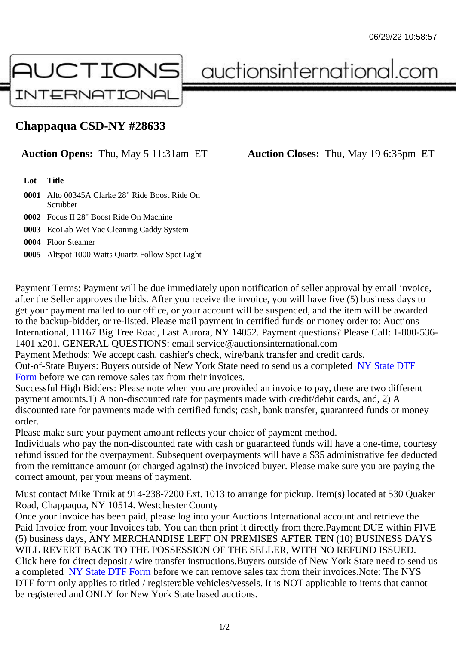## Chappaqua CSD-NY #28633

## Auction Opens: Thu, May 5 11:31am ET Auction Closes: Thu, May 19 6:35pm ET

Lot Title

- 0001 Alto 00345A Clarke 28" Ride Boost Ride On **Scrubber**
- 0002 Focus II 28" Boost Ride On Machine
- 0003 EcoLab Wet Vac Cleaning Caddy System
- 0004 Floor Steamer
- 0005 Altspot 1000 Watts Quartz Follow Spot Light

Payment Terms: Payment will be due immediately upon notification of seller approval by email invoice, after the Seller approves the bids. After you receive the invoice, you will have five (5) business days to get your payment mailed to our office, or your account will be suspended, and the item will be awarded to the backup-bidder, or re-listed. Please mail payment in certified funds or money order to: Auctions International, 11167 Big Tree Road, East Aurora, NY 14052. Payment questions? Please Call: 1-800-53 1401 x201. GENERAL QUESTIONS: email service@auctionsinternational.com

Payment Methods: We accept cash, cashier's check, wire/bank transfer and credit cards.

Out-of-State Buyers: Buyers outside of New York State need to send us a com blestate DTF Form before we can remove sales tax from their invoices.

Successful High Bidders: Please note when you are provided an invoice to pay, there are two different payment amounts.1) A non-discounted rate for payments made with credit/de[bit cards, and](https://www.auctionsinternational.com/auxiliary/downloads/DTF_Form/dtf_fill_in.pdf), 2) A [disco](https://www.auctionsinternational.com/auxiliary/downloads/DTF_Form/dtf_fill_in.pdf)unted rate for payments made with certified funds; cash, bank transfer, guaranteed funds or mone order.

Please make sure your payment amount reflects your choice of payment method.

Individuals who pay the non-discounted rate with cash or guaranteed funds will have a one-time, courte refund issued for the overpayment. Subsequent overpayments will have a \$35 administrative fee deduc from the remittance amount (or charged against) the invoiced buyer. Please make sure you are paying correct amount, per your means of payment.

Must contact Mike Trnik at 914-238-7200 Ext. 1013 to arrange for pickup. Item(s) located at 530 Quake Road, Chappaqua, NY 10514. Westchester County

Once your invoice has been paid, please log into your Auctions International account and retrieve the Paid Invoice from your Invoices tab. You can then print it directly from there.Payment DUE within FIVE (5) business days, ANY MERCHANDISE LEFT ON PREMISES AFTER TEN (10) BUSINESS DAYS WILL REVERT BACK TO THE POSSESSION OF THE SELLER, WITH NO REFUND ISSUED. Click here for direct deposit / wire transfer instructions. Buyers outside of New York State need to send use a completed NY State DTF Form before we can remove sales tax from their invoices. Note: The NYS DTF form only applies to titled / registerable vehicles/vessels. It is NOT applicable to items that cannot be registered and ONLY for New York State based auctions.